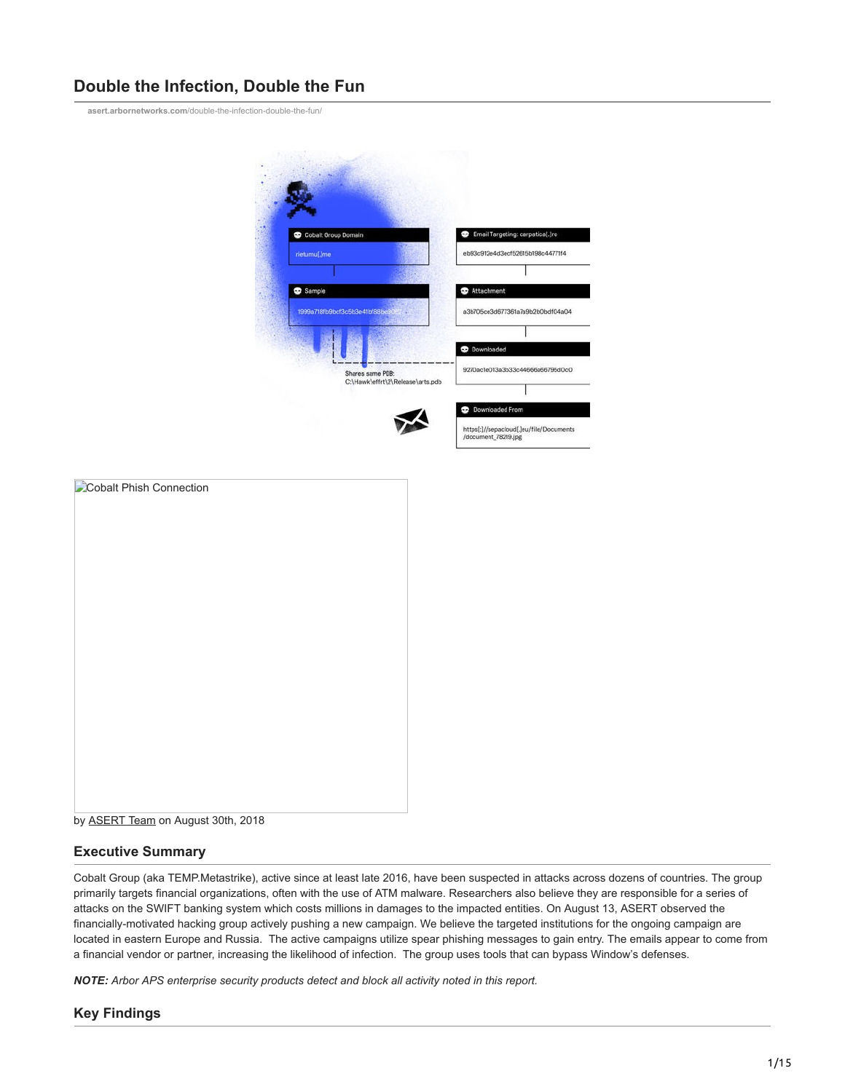# **Double the Infection, Double the Fun**

**asert.arbornetworks.com**[/double-the-infection-double-the-fun/](https://asert.arbornetworks.com/double-the-infection-double-the-fun/)



| Cobalt Phish Connection |  |  |
|-------------------------|--|--|
|                         |  |  |
|                         |  |  |
|                         |  |  |
|                         |  |  |
|                         |  |  |
|                         |  |  |
|                         |  |  |
|                         |  |  |
|                         |  |  |
|                         |  |  |
|                         |  |  |
|                         |  |  |
|                         |  |  |
|                         |  |  |
|                         |  |  |

by [ASERT Team](https://www.netscout.com/blog/asert/asert-team) on August 30th, 2018

### **Executive Summary**

Cobalt Group (aka TEMP.Metastrike), active since at least late 2016, have been suspected in attacks across dozens of countries. The group primarily targets financial organizations, often with the use of ATM malware. Researchers also believe they are responsible for a series of attacks on the SWIFT banking system which costs millions in damages to the impacted entities. On August 13, ASERT observed the financially-motivated hacking group actively pushing a new campaign. We believe the targeted institutions for the ongoing campaign are located in eastern Europe and Russia. The active campaigns utilize spear phishing messages to gain entry. The emails appear to come from a financial vendor or partner, increasing the likelihood of infection. The group uses tools that can bypass Window's defenses.

*NOTE: Arbor APS enterprise security products detect and block all activity noted in this report.*

## **Key Findings**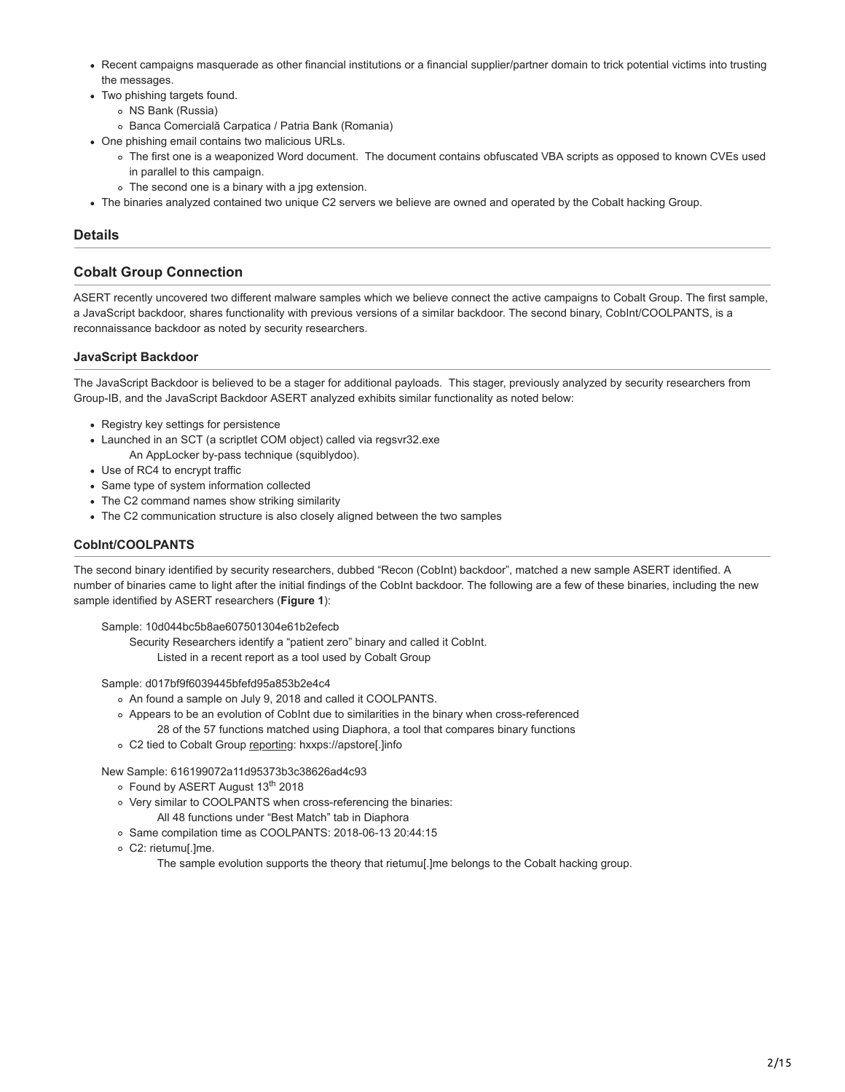- Recent campaigns masquerade as other financial institutions or a financial supplier/partner domain to trick potential victims into trusting the messages.
- Two phishing targets found.
	- NS Bank (Russia)
	- Banca Comercială Carpatica / Patria Bank (Romania)
- One phishing email contains two malicious URLs.
	- The first one is a weaponized Word document. The document contains obfuscated VBA scripts as opposed to known CVEs used in parallel to this campaign.
	- The second one is a binary with a jpg extension.
- The binaries analyzed contained two unique C2 servers we believe are owned and operated by the Cobalt hacking Group.

### **Details**

### **Cobalt Group Connection**

ASERT recently uncovered two different malware samples which we believe connect the active campaigns to Cobalt Group. The first sample, a JavaScript backdoor, shares functionality with previous versions of a similar backdoor. The second binary, CobInt/COOLPANTS, is a reconnaissance backdoor as noted by security researchers.

#### **JavaScript Backdoor**

The JavaScript Backdoor is believed to be a stager for additional payloads. This stager, previously analyzed by security researchers from Group-IB, and the JavaScript Backdoor ASERT analyzed exhibits similar functionality as noted below:

- Registry key settings for persistence
- Launched in an SCT (a scriptlet COM object) called via regsvr32.exe
	- An AppLocker by-pass technique (squiblydoo).
- Use of RC4 to encrypt traffic
- Same type of system information collected
- The C2 command names show striking similarity
- The C2 communication structure is also closely aligned between the two samples

#### **CobInt/COOLPANTS**

The second binary identified by security researchers, dubbed "Recon (CobInt) backdoor", matched a new sample ASERT identified. A number of binaries came to light after the initial findings of the CobInt backdoor. The following are a few of these binaries, including the new sample identified by ASERT researchers (**Figure 1**):

Sample: 10d044bc5b8ae607501304e61b2efecb

Security Researchers identify a "patient zero" binary and called it CobInt. Listed in a recent report as a tool used by Cobalt Group

Sample: d017bf9f6039445bfefd95a853b2e4c4

- An found a sample on July 9, 2018 and called it COOLPANTS.
- Appears to be an evolution of CobInt due to similarities in the binary when cross-referenced 28 of the 57 functions matched using Diaphora, a tool that compares binary functions
- C2 tied to Cobalt Group [reporting](https://www.proofpoint.com/us/daily-ruleset-update-summary-20180706): hxxps://apstore[.]info

New Sample: 616199072a11d95373b3c38626ad4c93

- Found by ASERT August 13<sup>th</sup> 2018
- Very similar to COOLPANTS when cross-referencing the binaries:
- All 48 functions under "Best Match" tab in Diaphora
- o Same compilation time as COOLPANTS: 2018-06-13 20:44:15
- C2: rietumu[.]me.

The sample evolution supports the theory that rietumu[.]me belongs to the Cobalt hacking group.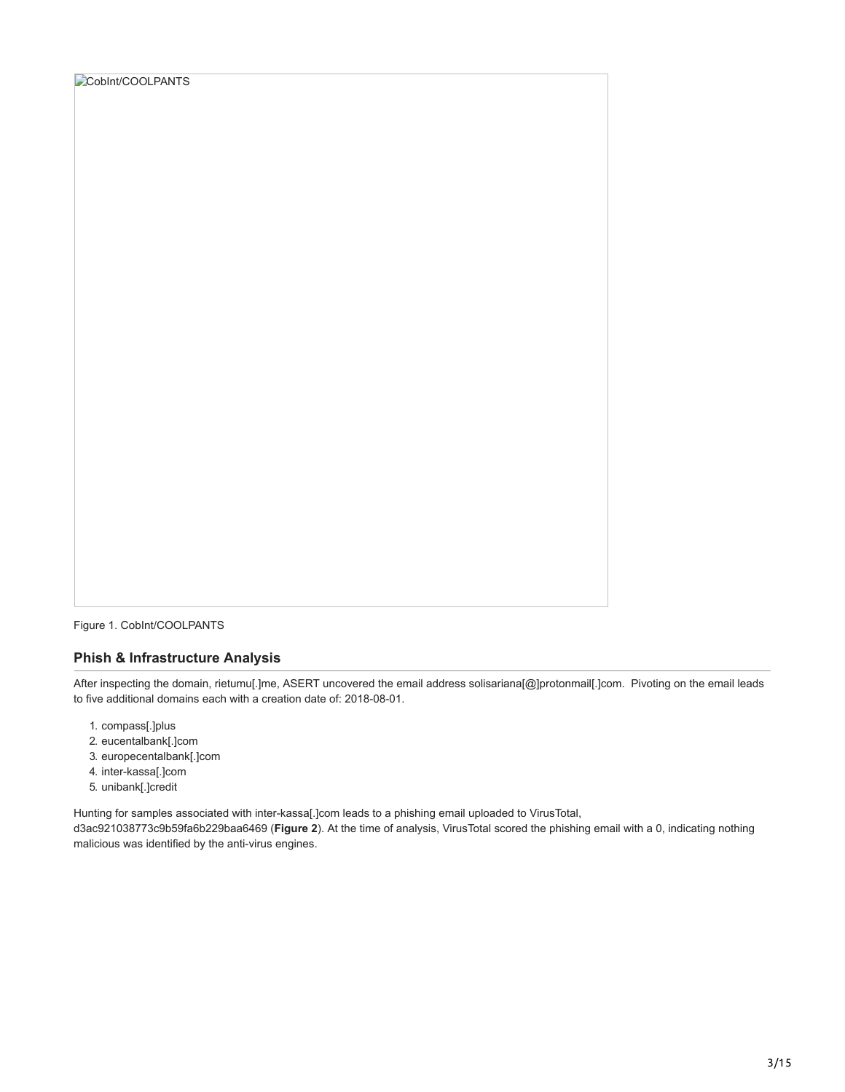|  |  |  | Cobint/COOLPANTS |
|--|--|--|------------------|
|--|--|--|------------------|

Figure 1. CobInt/COOLPANTS

### **Phish & Infrastructure Analysis**

After inspecting the domain, rietumu[.]me, ASERT uncovered the email address solisariana[@]protonmail[.]com. Pivoting on the email leads to five additional domains each with a creation date of: 2018-08-01.

- 1. compass[.]plus
- 2. eucentalbank[.]com
- 3. europecentalbank[.]com
- 4. inter-kassa[.]com
- 5. unibank[.]credit

Hunting for samples associated with inter-kassa[.]com leads to a phishing email uploaded to VirusTotal,

d3ac921038773c9b59fa6b229baa6469 (**Figure 2**). At the time of analysis, VirusTotal scored the phishing email with a 0, indicating nothing malicious was identified by the anti-virus engines.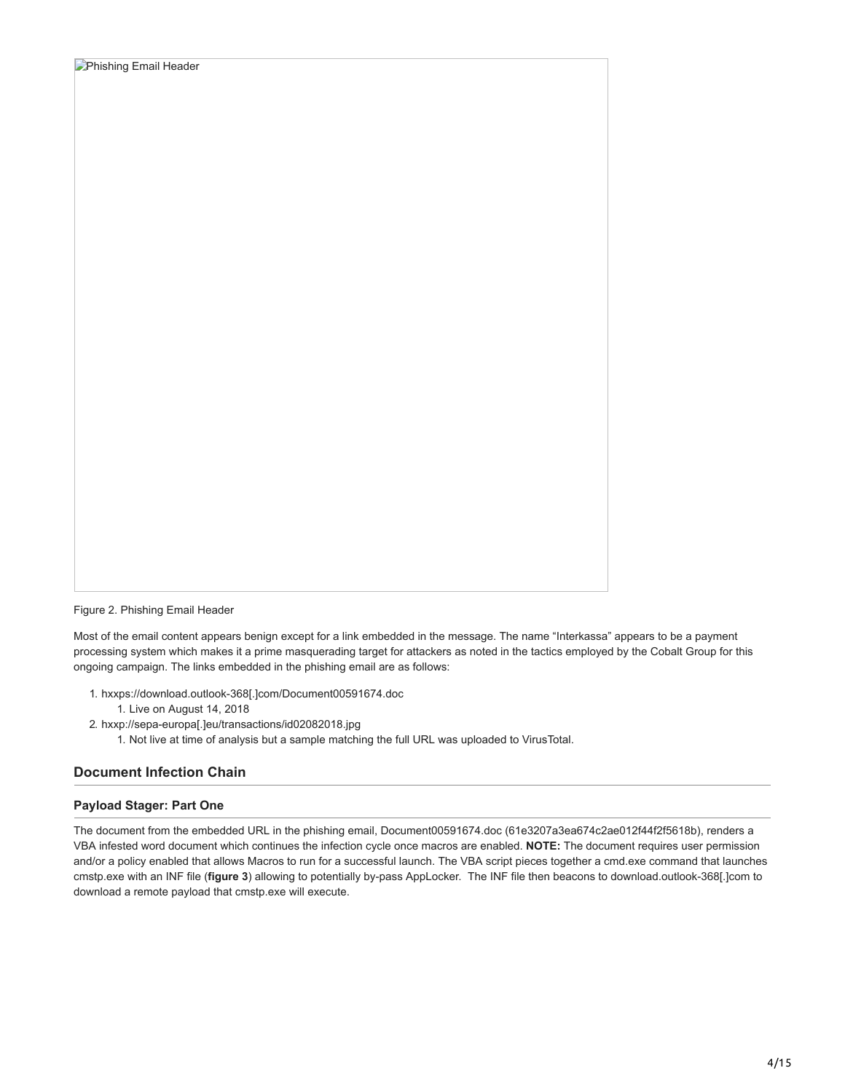

Figure 2. Phishing Email Header

Most of the email content appears benign except for a link embedded in the message. The name "Interkassa" appears to be a payment processing system which makes it a prime masquerading target for attackers as noted in the tactics employed by the Cobalt Group for this ongoing campaign. The links embedded in the phishing email are as follows:

- 1. hxxps://download.outlook-368[.]com/Document00591674.doc
	- 1. Live on August 14, 2018
- 2. hxxp://sepa-europa[.]eu/transactions/id02082018.jpg
	- 1. Not live at time of analysis but a sample matching the full URL was uploaded to VirusTotal.

### **Document Infection Chain**

### **Payload Stager: Part One**

The document from the embedded URL in the phishing email, Document00591674.doc (61e3207a3ea674c2ae012f44f2f5618b), renders a VBA infested word document which continues the infection cycle once macros are enabled. **NOTE:** The document requires user permission and/or a policy enabled that allows Macros to run for a successful launch. The VBA script pieces together a cmd.exe command that launches cmstp.exe with an INF file (**figure 3**) allowing to potentially by-pass AppLocker. The INF file then beacons to download.outlook-368[.]com to download a remote payload that cmstp.exe will execute.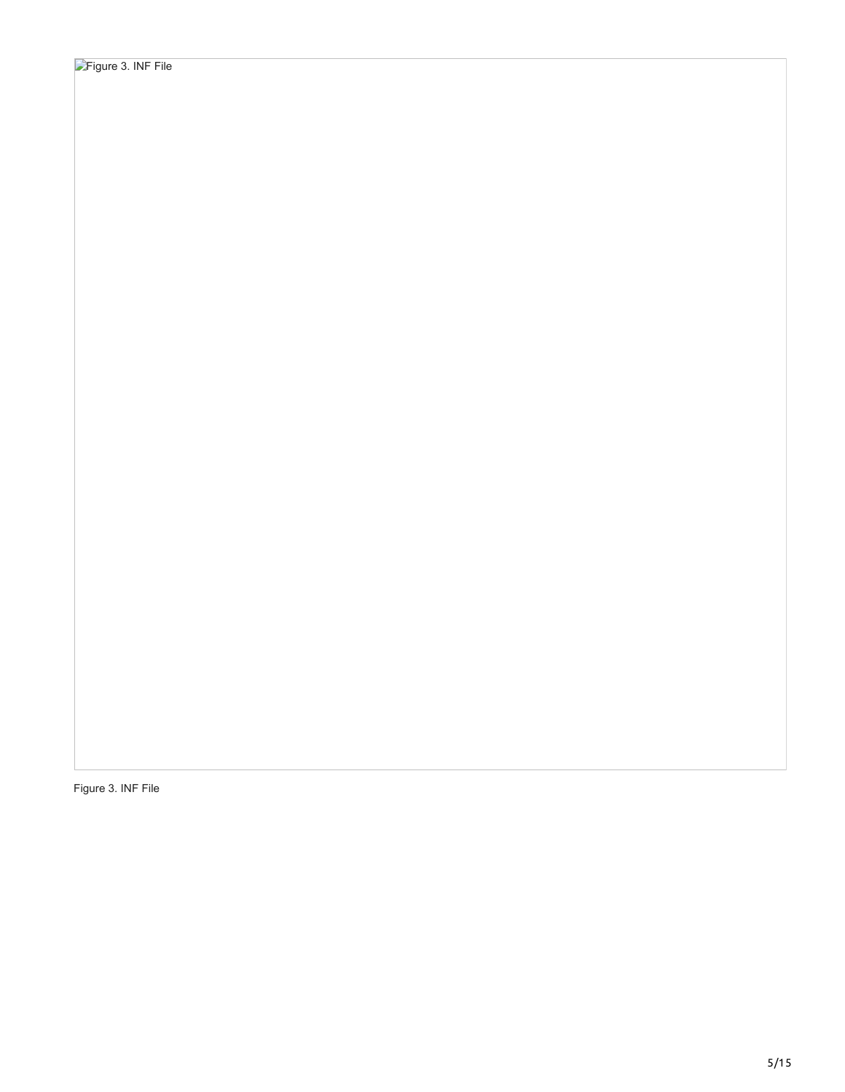Figure 3. INF File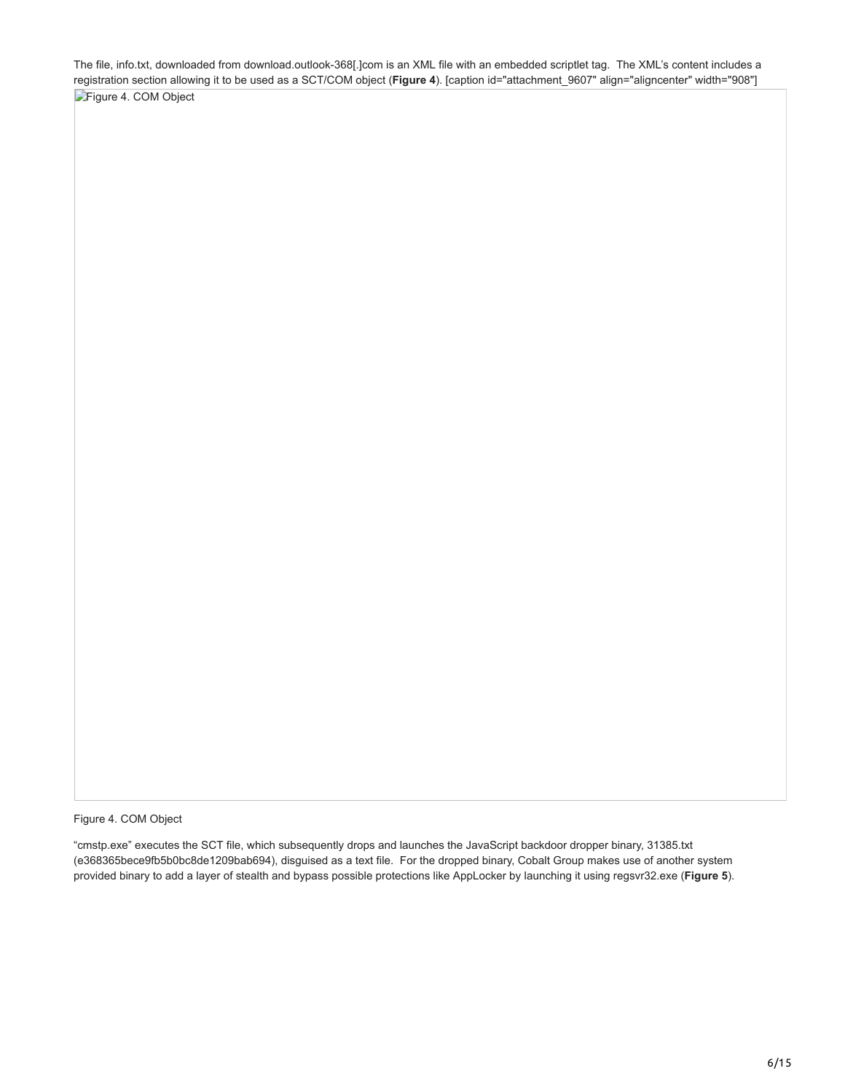The file, info.txt, downloaded from download.outlook-368[.]com is an XML file with an embedded scriptlet tag. The XML's content includes a registration section allowing it to be used as a SCT/COM object (**Figure 4**). [caption id="attachment\_9607" align="aligncenter" width="908"] [Figure 4. COM Object](https://www.netscout.com/sites/default/files/asert-blog/uploads/2018/08/Screenshot-from-2018-08-17-14-28-44.png)

Figure 4. COM Object

"cmstp.exe" executes the SCT file, which subsequently drops and launches the JavaScript backdoor dropper binary, 31385.txt (e368365bece9fb5b0bc8de1209bab694), disguised as a text file. For the dropped binary, Cobalt Group makes use of another system provided binary to add a layer of stealth and bypass possible protections like AppLocker by launching it using regsvr32.exe (**Figure 5**).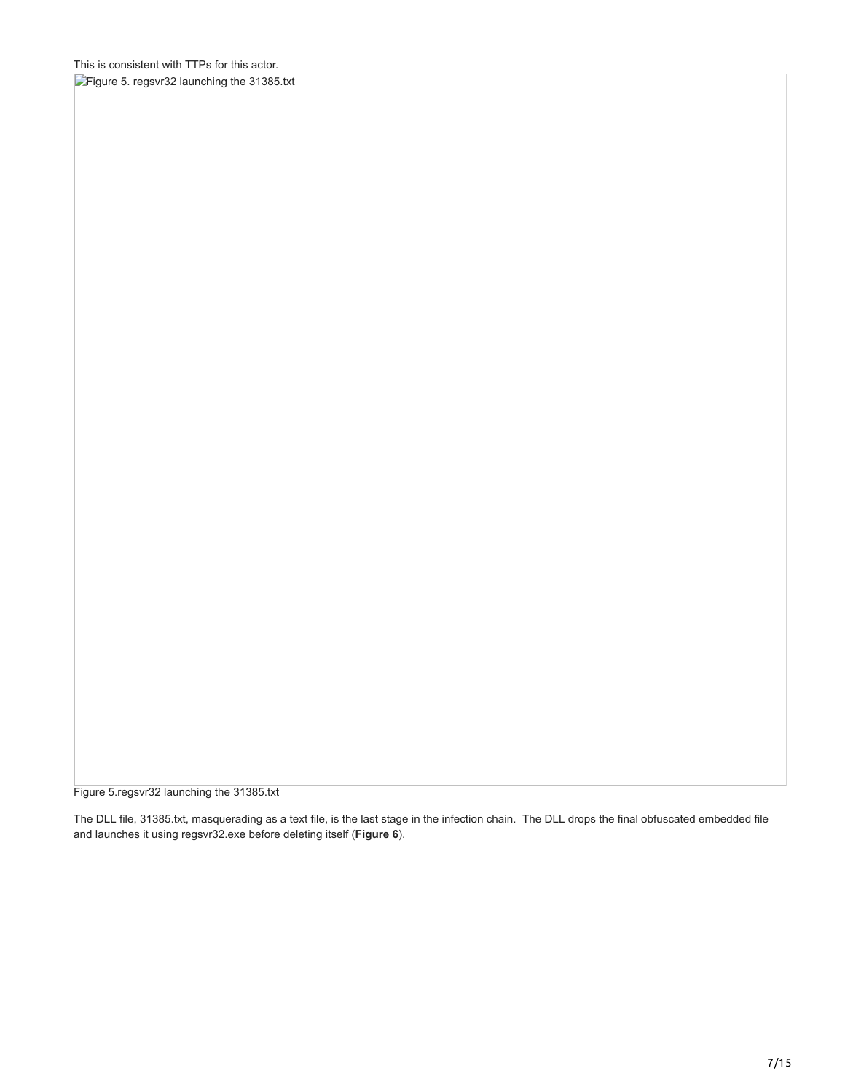[Figure 5. regsvr32 launching the 31385.txt](https://www.netscout.com/sites/default/files/asert-blog/uploads/2018/08/Screen-Shot-2018-08-16-at-12.33.37-PM.png)

Figure 5.regsvr32 launching the 31385.txt

The DLL file, 31385.txt, masquerading as a text file, is the last stage in the infection chain. The DLL drops the final obfuscated embedded file and launches it using regsvr32.exe before deleting itself (**Figure 6**).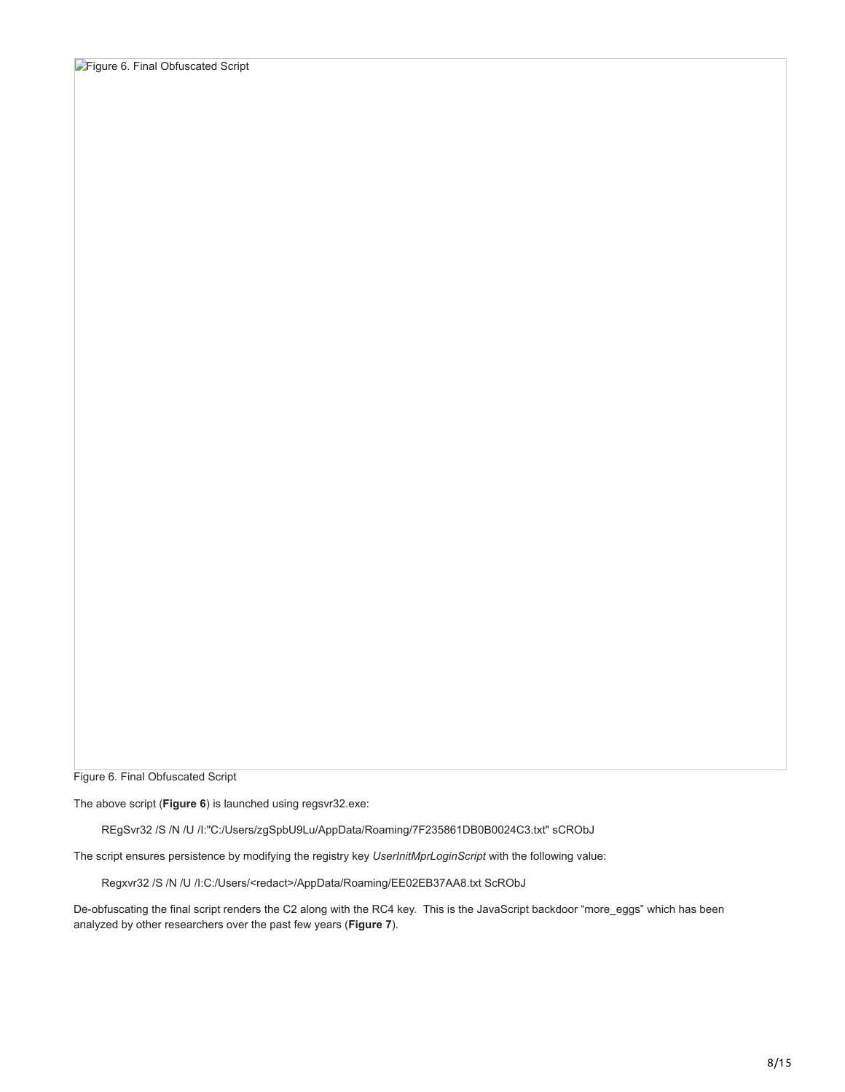Figure 6. Final Obfuscated Script

The above script (**Figure 6**) is launched using regsvr32.exe:

REgSvr32 /S /N /U /I:"C:/Users/zgSpbU9Lu/AppData/Roaming/7F235861DB0B0024C3.txt" sCRObJ

The script ensures persistence by modifying the registry key *UserInitMprLoginScript* with the following value:

Regxvr32 /S /N /U /I:C:/Users/<redact>/AppData/Roaming/EE02EB37AA8.txt ScRObJ

De-obfuscating the final script renders the C2 along with the RC4 key. This is the JavaScript backdoor "more\_eggs" which has been analyzed by other researchers over the past few years (**Figure 7**).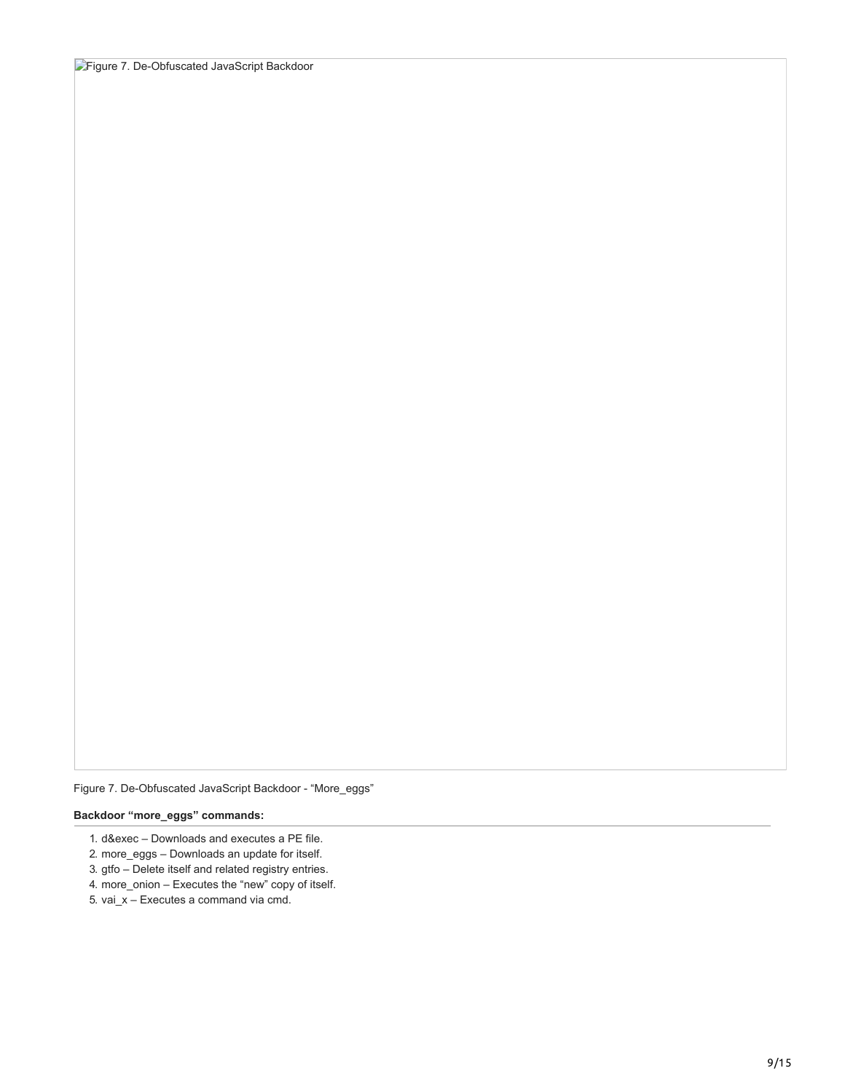Figure 7. De-Obfuscated JavaScript Backdoor - "More\_eggs"

#### **Backdoor "more\_eggs" commands:**

- 1. d&exec Downloads and executes a PE file.
- 2. more\_eggs Downloads an update for itself.
- 3. gtfo Delete itself and related registry entries.
- 4. more\_onion Executes the "new" copy of itself.
- 5. vai\_x Executes a command via cmd.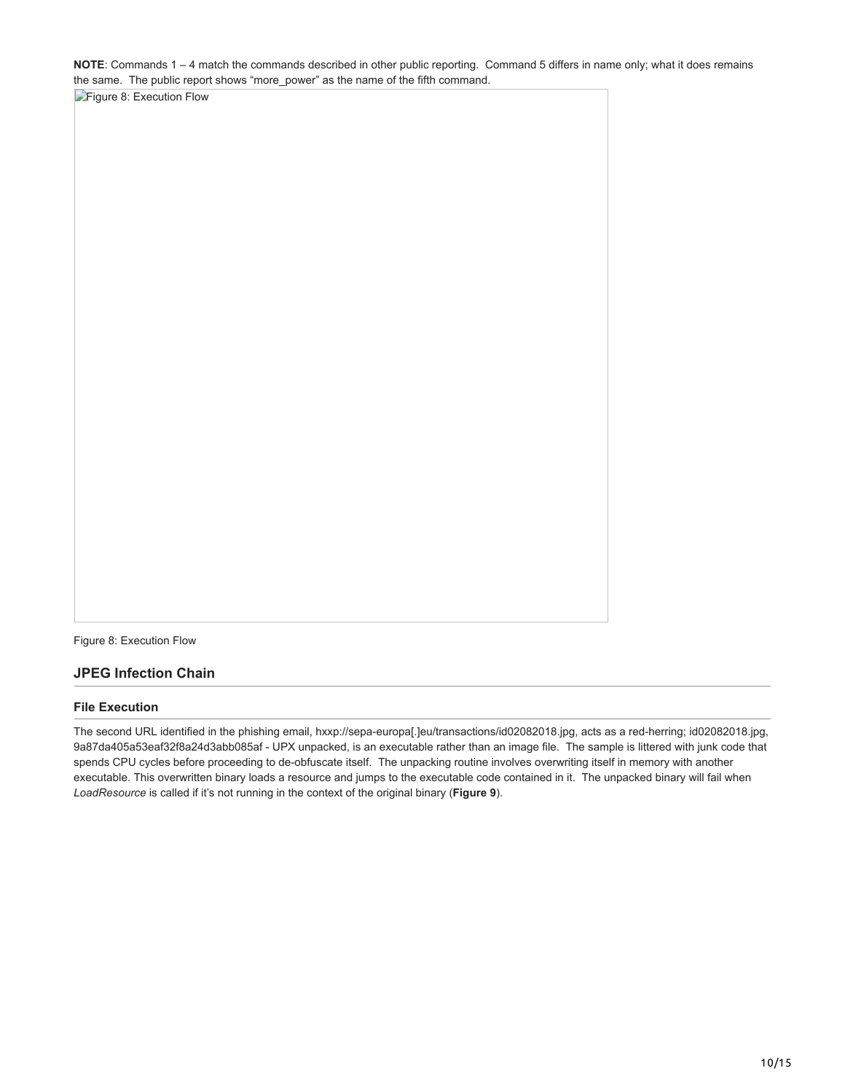**NOTE**: Commands 1 – 4 match the commands described in other public reporting. Command 5 differs in name only; what it does remains the same. The public report shows "more\_power" as the name of the fifth command.

[Figure 8: Execution Flow](https://www.netscout.com/sites/default/files/asert-blog/uploads/2018/08/Graphic2_FINAL2-01.jpg)

Figure 8: Execution Flow

### **JPEG Infection Chain**

#### **File Execution**

The second URL identified in the phishing email, hxxp://sepa-europa[.]eu/transactions/id02082018.jpg, acts as a red-herring; id02082018.jpg, 9a87da405a53eaf32f8a24d3abb085af - UPX unpacked, is an executable rather than an image file. The sample is littered with junk code that spends CPU cycles before proceeding to de-obfuscate itself. The unpacking routine involves overwriting itself in memory with another executable. This overwritten binary loads a resource and jumps to the executable code contained in it. The unpacked binary will fail when *LoadResource* is called if it's not running in the context of the original binary (**Figure 9**).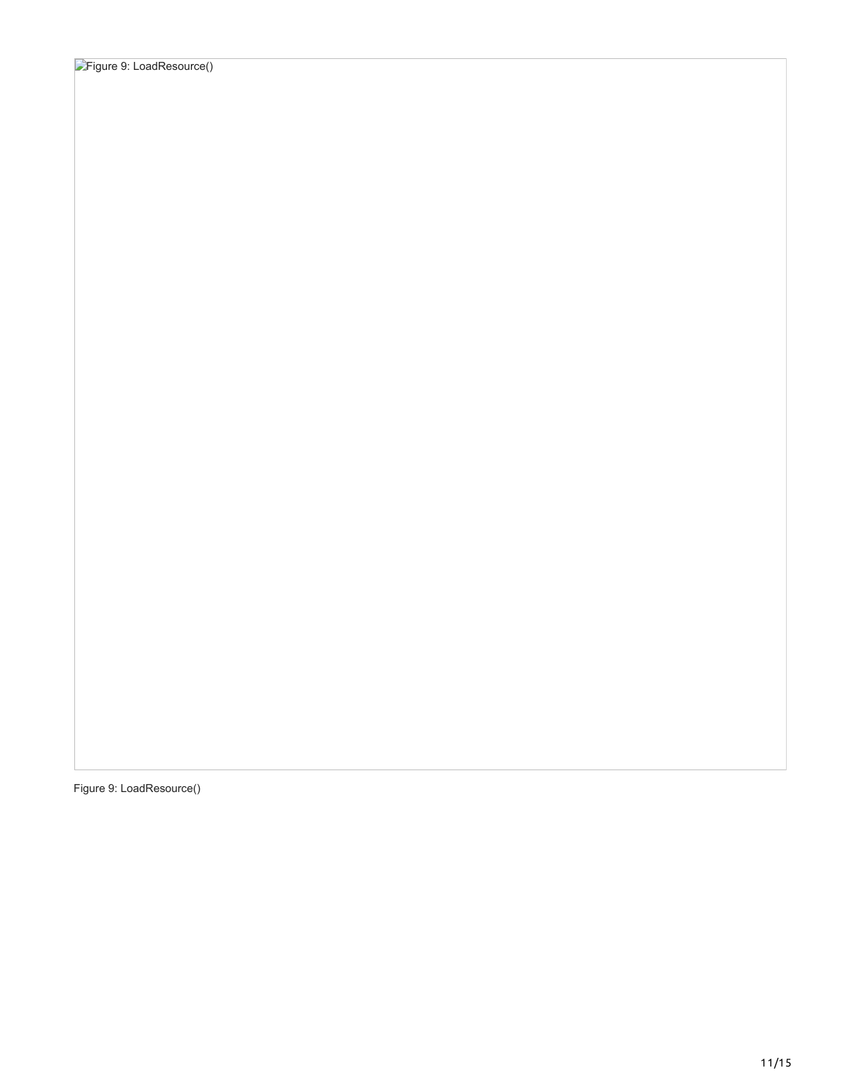Figure 9: LoadResource()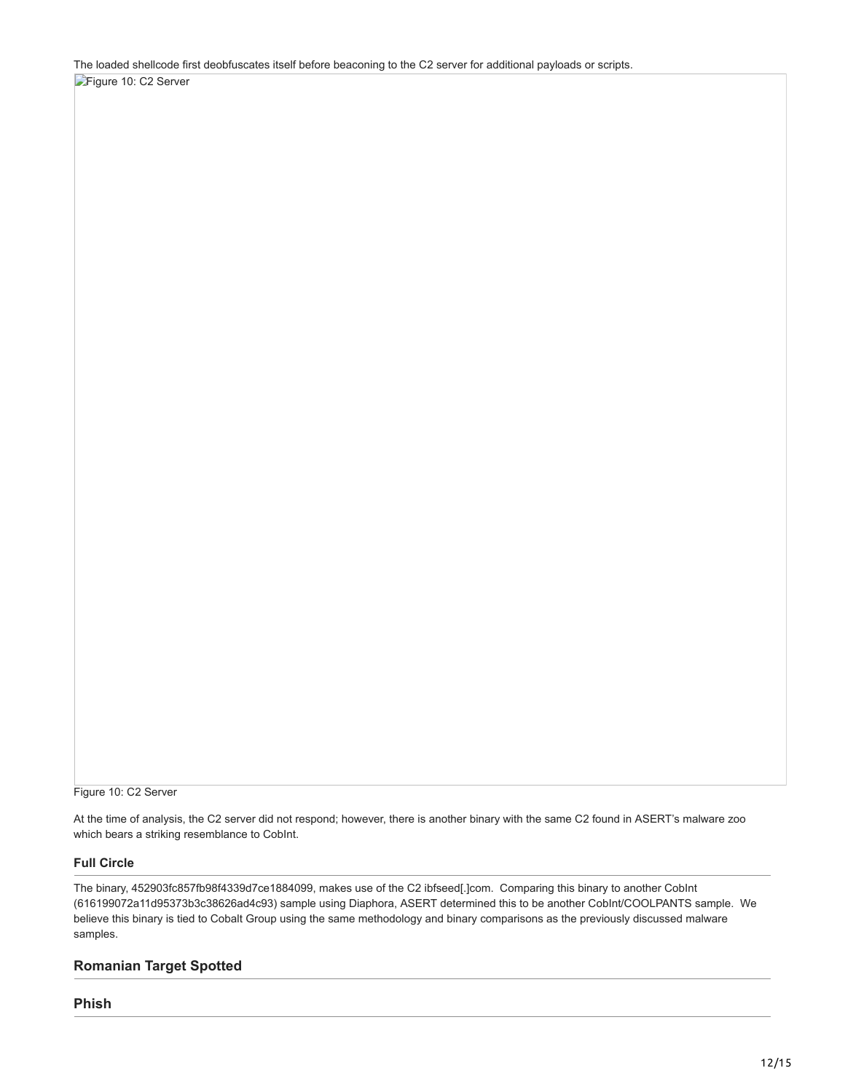The loaded shellcode first deobfuscates itself before beaconing to the C2 server for additional payloads or scripts. [Figure 10: C2 Server](https://www.netscout.com/sites/default/files/asert-blog/uploads/2018/08/Screenshot-from-2018-08-26-16-42-00.png)

Figure 10: C2 Server

At the time of analysis, the C2 server did not respond; however, there is another binary with the same C2 found in ASERT's malware zoo which bears a striking resemblance to CobInt.

### **Full Circle**

The binary, 452903fc857fb98f4339d7ce1884099, makes use of the C2 ibfseed[.]com. Comparing this binary to another CobInt (616199072a11d95373b3c38626ad4c93) sample using Diaphora, ASERT determined this to be another CobInt/COOLPANTS sample. We believe this binary is tied to Cobalt Group using the same methodology and binary comparisons as the previously discussed malware samples.

### **Romanian Target Spotted**

**Phish**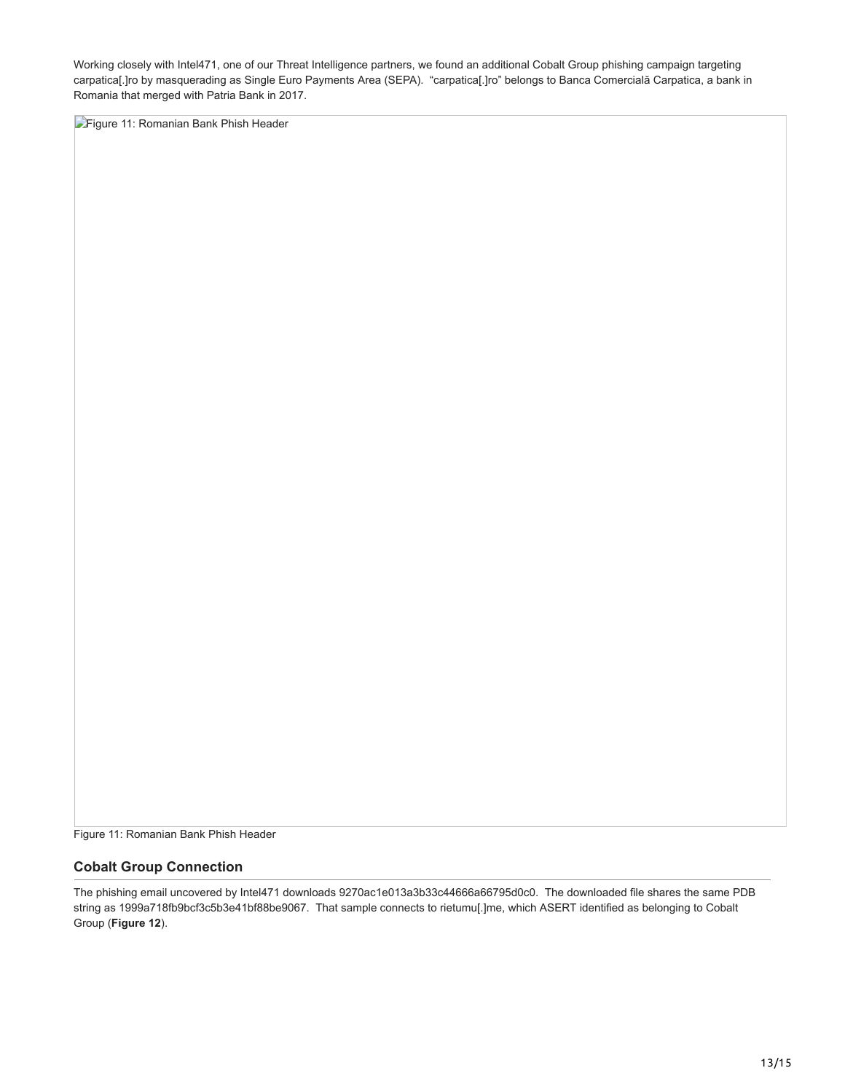Working closely with Intel471, one of our Threat Intelligence partners, we found an additional Cobalt Group phishing campaign targeting carpatica[.]ro by masquerading as Single Euro Payments Area (SEPA). "carpatica[.]ro" belongs to Banca Comercială Carpatica, a bank in Romania that merged with Patria Bank in 2017.

**[Figure 11: Romanian Bank Phish Header](https://www.netscout.com/sites/default/files/asert-blog/uploads/2018/08/Screenshot-from-2018-08-29-17-27-57.png)** 

Figure 11: Romanian Bank Phish Header

### **Cobalt Group Connection**

The phishing email uncovered by Intel471 downloads 9270ac1e013a3b33c44666a66795d0c0. The downloaded file shares the same PDB string as 1999a718fb9bcf3c5b3e41bf88be9067. That sample connects to rietumu[.]me, which ASERT identified as belonging to Cobalt Group (**Figure 12**).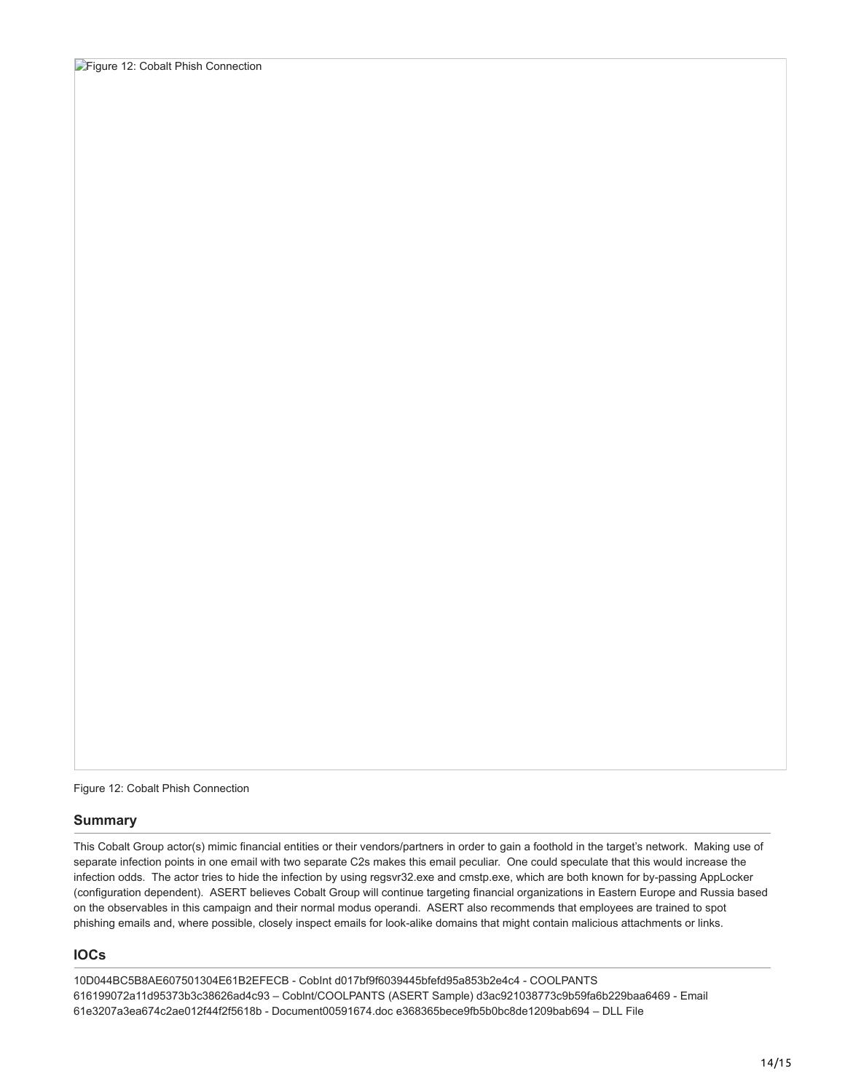Figure 12: Cobalt Phish Connection

### **Summary**

This Cobalt Group actor(s) mimic financial entities or their vendors/partners in order to gain a foothold in the target's network. Making use of separate infection points in one email with two separate C2s makes this email peculiar. One could speculate that this would increase the infection odds. The actor tries to hide the infection by using regsvr32.exe and cmstp.exe, which are both known for by-passing AppLocker (configuration dependent). ASERT believes Cobalt Group will continue targeting financial organizations in Eastern Europe and Russia based on the observables in this campaign and their normal modus operandi. ASERT also recommends that employees are trained to spot phishing emails and, where possible, closely inspect emails for look-alike domains that might contain malicious attachments or links.

# **IOCs**

10D044BC5B8AE607501304E61B2EFECB - CobInt d017bf9f6039445bfefd95a853b2e4c4 - COOLPANTS 616199072a11d95373b3c38626ad4c93 – Coblnt/COOLPANTS (ASERT Sample) d3ac921038773c9b59fa6b229baa6469 - Email 61e3207a3ea674c2ae012f44f2f5618b - Document00591674.doc e368365bece9fb5b0bc8de1209bab694 – DLL File